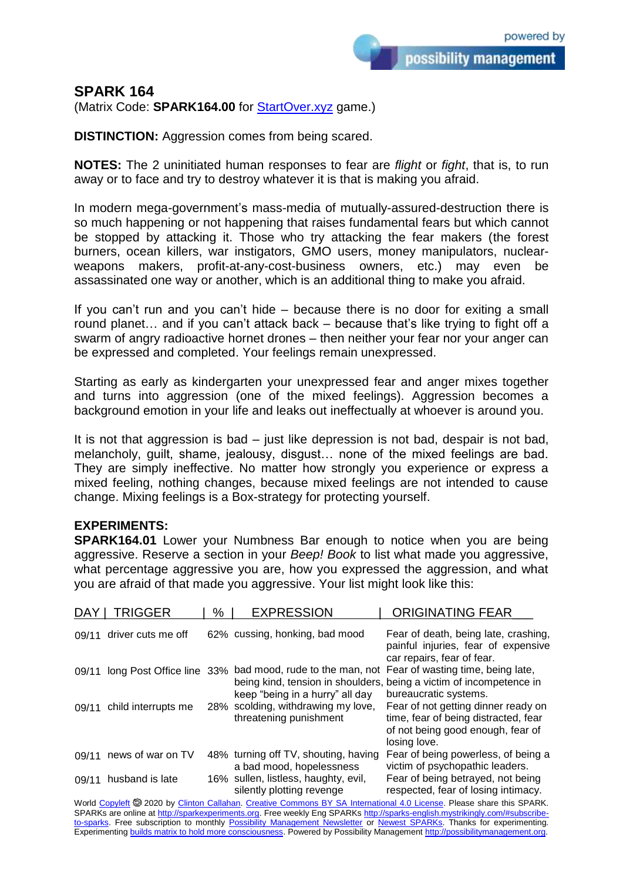possibility management

## **SPARK 164**

(Matrix Code: **SPARK164.00** for **StartOver.xyz** game.)

**DISTINCTION:** Aggression comes from being scared.

**NOTES:** The 2 uninitiated human responses to fear are *flight* or *fight*, that is, to run away or to face and try to destroy whatever it is that is making you afraid.

In modern mega-government's mass-media of mutually-assured-destruction there is so much happening or not happening that raises fundamental fears but which cannot be stopped by attacking it. Those who try attacking the fear makers (the forest burners, ocean killers, war instigators, GMO users, money manipulators, nuclearweapons makers, profit-at-any-cost-business owners, etc.) may even be assassinated one way or another, which is an additional thing to make you afraid.

If you can't run and you can't hide – because there is no door for exiting a small round planet… and if you can't attack back – because that's like trying to fight off a swarm of angry radioactive hornet drones – then neither your fear nor your anger can be expressed and completed. Your feelings remain unexpressed.

Starting as early as kindergarten your unexpressed fear and anger mixes together and turns into aggression (one of the mixed feelings). Aggression becomes a background emotion in your life and leaks out ineffectually at whoever is around you.

It is not that aggression is bad – just like depression is not bad, despair is not bad, melancholy, guilt, shame, jealousy, disgust… none of the mixed feelings are bad. They are simply ineffective. No matter how strongly you experience or express a mixed feeling, nothing changes, because mixed feelings are not intended to cause change. Mixing feelings is a Box-strategy for protecting yourself.

## **EXPERIMENTS:**

**SPARK164.01** Lower your Numbness Bar enough to notice when you are being aggressive. Reserve a section in your *Beep! Book* to list what made you aggressive, what percentage aggressive you are, how you expressed the aggression, and what you are afraid of that made you aggressive. Your list might look like this:

| <b>DAY</b> | TRIGGER                   | %   | <b>EXPRESSION</b>                                                 | <b>ORIGINATING FEAR</b>                                                                                                           |
|------------|---------------------------|-----|-------------------------------------------------------------------|-----------------------------------------------------------------------------------------------------------------------------------|
| 09/11      | driver cuts me off        |     | 62% cussing, honking, bad mood                                    | Fear of death, being late, crashing,<br>painful injuries, fear of expensive<br>car repairs, fear of fear.                         |
| 09/11      | long Post Office line     | 33% | bad mood, rude to the man, not<br>keep "being in a hurry" all day | Fear of wasting time, being late,<br>being kind, tension in shoulders, being a victim of incompetence in<br>bureaucratic systems. |
|            | 09/11 child interrupts me |     | 28% scolding, withdrawing my love,<br>threatening punishment      | Fear of not getting dinner ready on<br>time, fear of being distracted, fear<br>of not being good enough, fear of<br>losing love.  |
| 09/11      | news of war on TV         |     | 48% turning off TV, shouting, having<br>a bad mood, hopelessness  | Fear of being powerless, of being a<br>victim of psychopathic leaders.                                                            |
| 09/11      | husband is late           |     | 16% sullen, listless, haughty, evil,<br>silently plotting revenge | Fear of being betrayed, not being<br>respected, fear of losing intimacy.                                                          |
|            |                           |     |                                                                   |                                                                                                                                   |